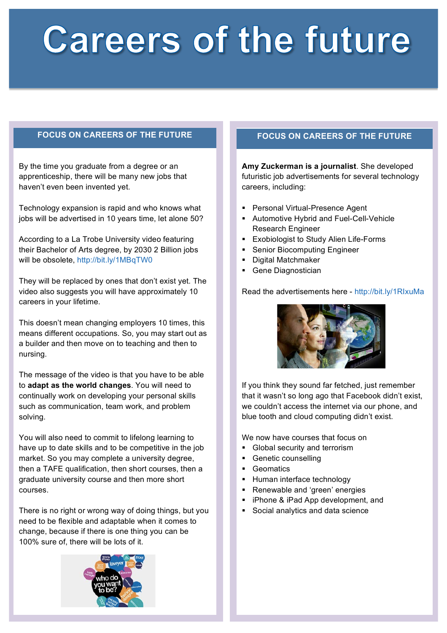# **Careers of the future**

By the time you graduate from a degree or an apprenticeship, there will be many new jobs that haven't even been invented yet.

Technology expansion is rapid and who knows what jobs will be advertised in 10 years time, let alone 50?

According to a La Trobe University video featuring their Bachelor of Arts degree, by 2030 2 Billion jobs will be obsolete, http://bit.ly/1MBqTW0

They will be replaced by ones that don't exist yet. The video also suggests you will have approximately 10 careers in your lifetime.

This doesn't mean changing employers 10 times, this means different occupations. So, you may start out as a builder and then move on to teaching and then to nursing.

The message of the video is that you have to be able to **adapt as the world changes**. You will need to continually work on developing your personal skills such as communication, team work, and problem solving.

You will also need to commit to lifelong learning to have up to date skills and to be competitive in the job market. So you may complete a university degree, then a TAFE qualification, then short courses, then a graduate university course and then more short courses.

There is no right or wrong way of doing things, but you need to be flexible and adaptable when it comes to change, because if there is one thing you can be 100% sure of, there will be lots of it.

## **FOCUS ON CAREERS OF THE FUTURE FOCUS ON CAREERS OF THE FUTURE**

**Amy Zuckerman is a journalist**. She developed futuristic job advertisements for several technology careers, including:

- § Personal Virtual-Presence Agent
- Automotive Hybrid and Fuel-Cell-Vehicle Research Engineer
- Exobiologist to Study Alien Life-Forms
- Senior Biocomputing Engineer
- § Digital Matchmaker
- Gene Diagnostician

## Read the advertisements here - http://bit.ly/1RIxuMa



If you think they sound far fetched, just remember that it wasn't so long ago that Facebook didn't exist, we couldn't access the internet via our phone, and blue tooth and cloud computing didn't exist.

We now have courses that focus on

- Global security and terrorism
- Genetic counselling
- Geomatics
- § Human interface technology
- Renewable and 'green' energies
- iPhone & iPad App development, and
- Social analytics and data science